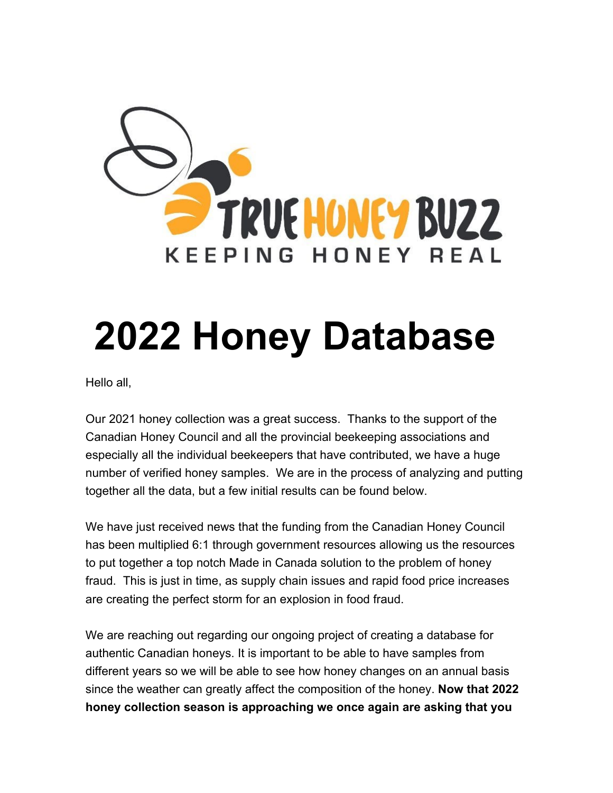

## **2022 Honey Database**

Hello all,

Our 2021 honey collection was a great success. Thanks to the support of the Canadian Honey Council and all the provincial beekeeping associations and especially all the individual beekeepers that have contributed, we have a huge number of verified honey samples. We are in the process of analyzing and putting together all the data, but a few initial results can be found below.

We have just received news that the funding from the Canadian Honey Council has been multiplied 6:1 through government resources allowing us the resources to put together a top notch Made in Canada solution to the problem of honey fraud. This is just in time, as supply chain issues and rapid food price increases are creating the perfect storm for an explosion in food fraud.

We are reaching out regarding our ongoing project of creating a database for authentic Canadian honeys. It is important to be able to have samples from different years so we will be able to see how honey changes on an annual basis since the weather can greatly affect the composition of the honey. **Now that 2022 honey collection season is approaching we once again are asking that you**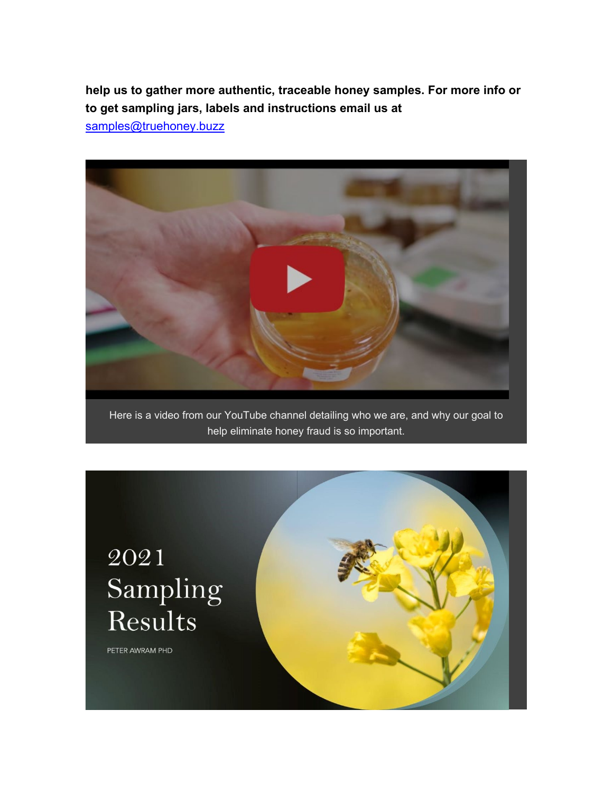**help us to gather more authentic, traceable honey samples. For more info or to get sampling jars, labels and instructions email us at** 

[samples@truehoney.buzz](mailto:samples@truehoney.buzz)



Here is a video from our YouTube channel detailing who we are, and why our goal to help eliminate honey fraud is so important.